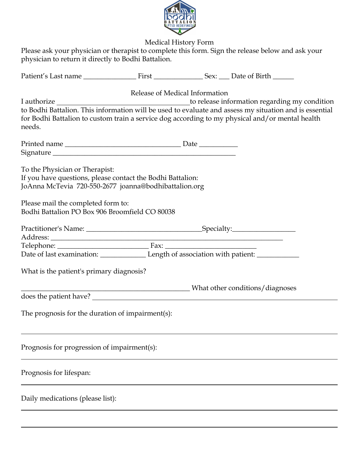

Medical History Form

Please ask your physician or therapist to complete this form. Sign the release below and ask your physician to return it directly to Bodhi Battalion.

| needs.                                                                                                                                                                                                                                        | Release of Medical Information | for Bodhi Battalion to custom train a service dog according to my physical and/or mental health |
|-----------------------------------------------------------------------------------------------------------------------------------------------------------------------------------------------------------------------------------------------|--------------------------------|-------------------------------------------------------------------------------------------------|
|                                                                                                                                                                                                                                               |                                |                                                                                                 |
| To the Physician or Therapist:<br>If you have questions, please contact the Bodhi Battalion:<br>JoAnna McTevia 720-550-2677 joanna@bodhibattalion.org<br>Please mail the completed form to:<br>Bodhi Battalion PO Box 906 Broomfield CO 80038 |                                |                                                                                                 |
|                                                                                                                                                                                                                                               |                                |                                                                                                 |
| Telephone: <u>Fax:</u> Fax: Fax: <u>Fax:</u> Fax: <u>Fax:</u> Fax: <u>Fax:</u> Fax: <u>Fax: Fax: The of last examination: <u>Fax:</u> Eength of association with patient: <u>Fax:</u></u>                                                     |                                |                                                                                                 |
| What is the patient's primary diagnosis?                                                                                                                                                                                                      |                                |                                                                                                 |
| does the patient have?                                                                                                                                                                                                                        |                                | Mhat other conditions/diagnoses                                                                 |
| The prognosis for the duration of impairment(s):                                                                                                                                                                                              |                                |                                                                                                 |
| Prognosis for progression of impairment(s):                                                                                                                                                                                                   |                                |                                                                                                 |
| Prognosis for lifespan:                                                                                                                                                                                                                       |                                |                                                                                                 |
| Daily medications (please list):                                                                                                                                                                                                              |                                |                                                                                                 |
|                                                                                                                                                                                                                                               |                                |                                                                                                 |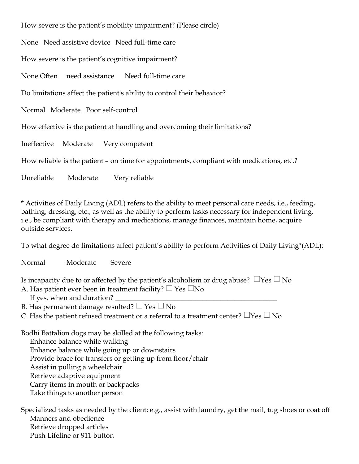How severe is the patient's mobility impairment? (Please circle) None Need assistive device Need full-time care How severe is the patient's cognitive impairment? None Often need assistance Need full-time care Do limitations affect the patient's ability to control their behavior? Normal Moderate Poor self-control How effective is the patient at handling and overcoming their limitations? Ineffective Moderate Very competent How reliable is the patient – on time for appointments, compliant with medications, etc.? Unreliable Moderate Very reliable

\* Activities of Daily Living (ADL) refers to the ability to meet personal care needs, i.e., feeding, bathing, dressing, etc., as well as the ability to perform tasks necessary for independent living, i.e., be compliant with therapy and medications, manage finances, maintain home, acquire outside services.

To what degree do limitations affect patient's ability to perform Activities of Daily Living\*(ADL):

Normal Moderate Severe

Is incapacity due to or affected by the patient's alcoholism or drug abuse?  $\Box$ Yes  $\Box$  No

- A. Has patient ever been in treatment facility?  $\Box$  Yes  $\Box$ No
- If yes, when and duration?

B. Has permanent damage resulted?  $\Box$  Yes  $\Box$  No

C. Has the patient refused treatment or a referral to a treatment center?  $\Box$ Yes  $\Box$  No

Bodhi Battalion dogs may be skilled at the following tasks:

Enhance balance while walking Enhance balance while going up or downstairs Provide brace for transfers or getting up from floor/chair Assist in pulling a wheelchair Retrieve adaptive equipment Carry items in mouth or backpacks Take things to another person

Specialized tasks as needed by the client; e.g., assist with laundry, get the mail, tug shoes or coat off Manners and obedience Retrieve dropped articles Push Lifeline or 911 button